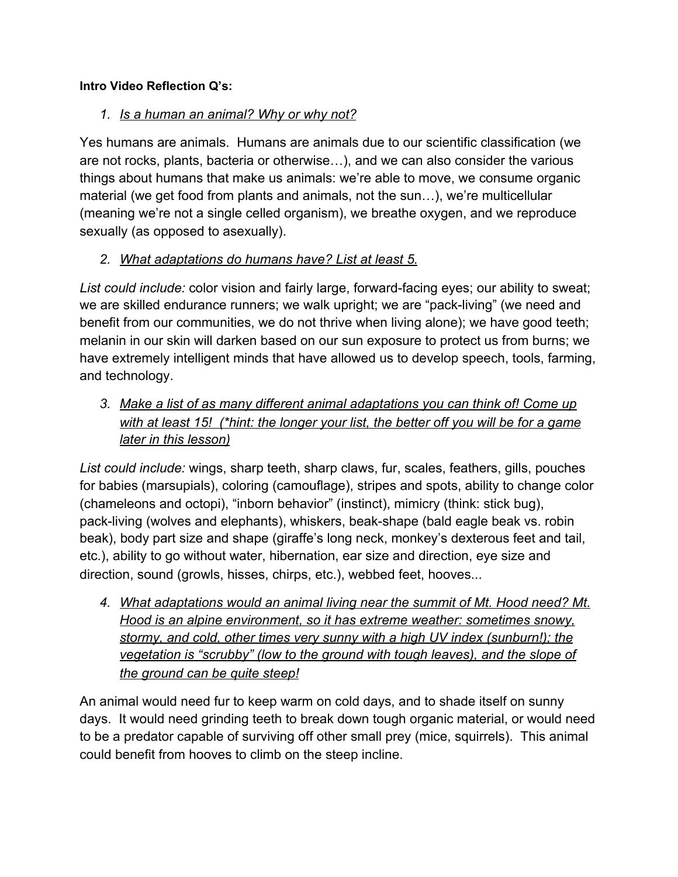# **Intro Video Reflection Q's:**

# *1. Is a human an animal? Why or why not?*

Yes humans are animals. Humans are animals due to our scientific classification (we are not rocks, plants, bacteria or otherwise…), and we can also consider the various things about humans that make us animals: we're able to move, we consume organic material (we get food from plants and animals, not the sun…), we're multicellular (meaning we're not a single celled organism), we breathe oxygen, and we reproduce sexually (as opposed to asexually).

# *2. What adaptations do humans have? List at least 5.*

*List could include:* color vision and fairly large, forward-facing eyes; our ability to sweat; we are skilled endurance runners; we walk upright; we are "pack-living" (we need and benefit from our communities, we do not thrive when living alone); we have good teeth; melanin in our skin will darken based on our sun exposure to protect us from burns; we have extremely intelligent minds that have allowed us to develop speech, tools, farming, and technology.

*3. Make a list of as many different animal adaptations you can think of! Come up with at least 15! (\*hint: the longer your list, the better off you will be for a game later in this lesson)*

*List could include:* wings, sharp teeth, sharp claws, fur, scales, feathers, gills, pouches for babies (marsupials), coloring (camouflage), stripes and spots, ability to change color (chameleons and octopi), "inborn behavior" (instinct), mimicry (think: stick bug), pack-living (wolves and elephants), whiskers, beak-shape (bald eagle beak vs. robin beak), body part size and shape (giraffe's long neck, monkey's dexterous feet and tail, etc.), ability to go without water, hibernation, ear size and direction, eye size and direction, sound (growls, hisses, chirps, etc.), webbed feet, hooves...

*4. What adaptations would an animal living near the summit of Mt. Hood need? Mt. Hood is an alpine environment, so it has extreme weather: sometimes snowy, stormy, and cold, other times very sunny with a high UV index (sunburn!); the vegetation is "scrubby" (low to the ground with tough leaves), and the slope of the ground can be quite steep!*

An animal would need fur to keep warm on cold days, and to shade itself on sunny days. It would need grinding teeth to break down tough organic material, or would need to be a predator capable of surviving off other small prey (mice, squirrels). This animal could benefit from hooves to climb on the steep incline.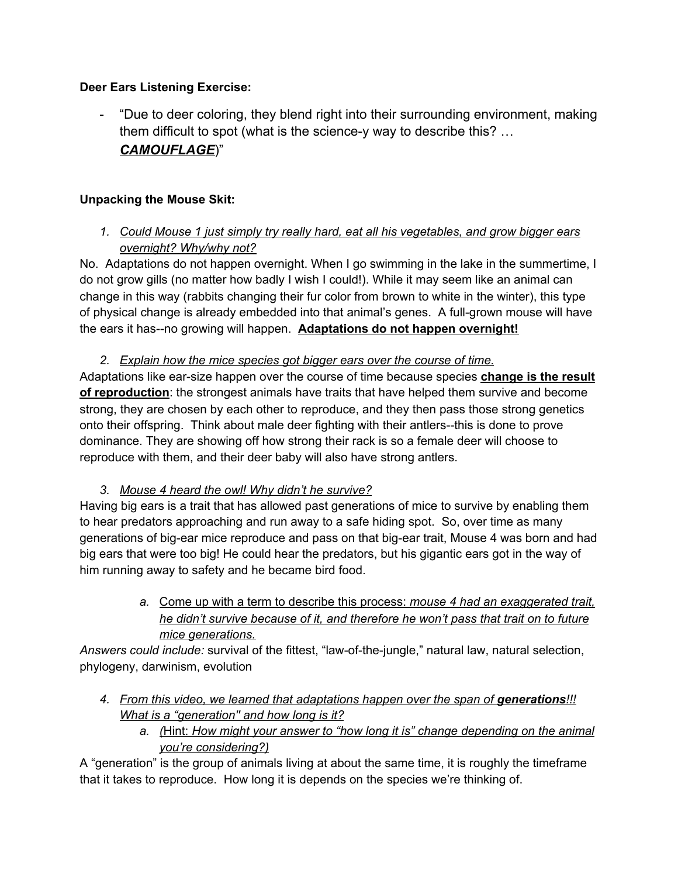## **Deer Ears Listening Exercise:**

- "Due to deer coloring, they blend right into their surrounding environment, making them difficult to spot (what is the science-y way to describe this? … *CAMOUFLAGE*)"

## **Unpacking the Mouse Skit:**

*1. Could Mouse 1 just simply try really hard, eat all his vegetables, and grow bigger ears overnight? Why/why not?*

No. Adaptations do not happen overnight. When I go swimming in the lake in the summertime, I do not grow gills (no matter how badly I wish I could!). While it may seem like an animal can change in this way (rabbits changing their fur color from brown to white in the winter), this type of physical change is already embedded into that animal's genes. A full-grown mouse will have the ears it has--no growing will happen. **Adaptations do not happen overnight!**

*2. Explain how the mice species got bigger ears over the course of time.*

Adaptations like ear-size happen over the course of time because species **change is the result of reproduction**: the strongest animals have traits that have helped them survive and become strong, they are chosen by each other to reproduce, and they then pass those strong genetics onto their offspring. Think about male deer fighting with their antlers--this is done to prove dominance. They are showing off how strong their rack is so a female deer will choose to reproduce with them, and their deer baby will also have strong antlers.

## *3. Mouse 4 heard the owl! Why didn't he survive?*

Having big ears is a trait that has allowed past generations of mice to survive by enabling them to hear predators approaching and run away to a safe hiding spot. So, over time as many generations of big-ear mice reproduce and pass on that big-ear trait, Mouse 4 was born and had big ears that were too big! He could hear the predators, but his gigantic ears got in the way of him running away to safety and he became bird food.

> *a.* Come up with a term to describe this process: *mouse 4 had an exaggerated trait, he didn't survive because of it, and therefore he won't pass that trait on to future mice generations.*

*Answers could include:* survival of the fittest, "law-of-the-jungle," natural law, natural selection, phylogeny, darwinism, evolution

- *4. From this video, we learned that adaptations happen over the span of generations!!! What is a "generation'' and how long is it?*
	- *a. (*Hint: *How might your answer to "how long it is" change depending on the animal you're considering?)*

A "generation" is the group of animals living at about the same time, it is roughly the timeframe that it takes to reproduce. How long it is depends on the species we're thinking of.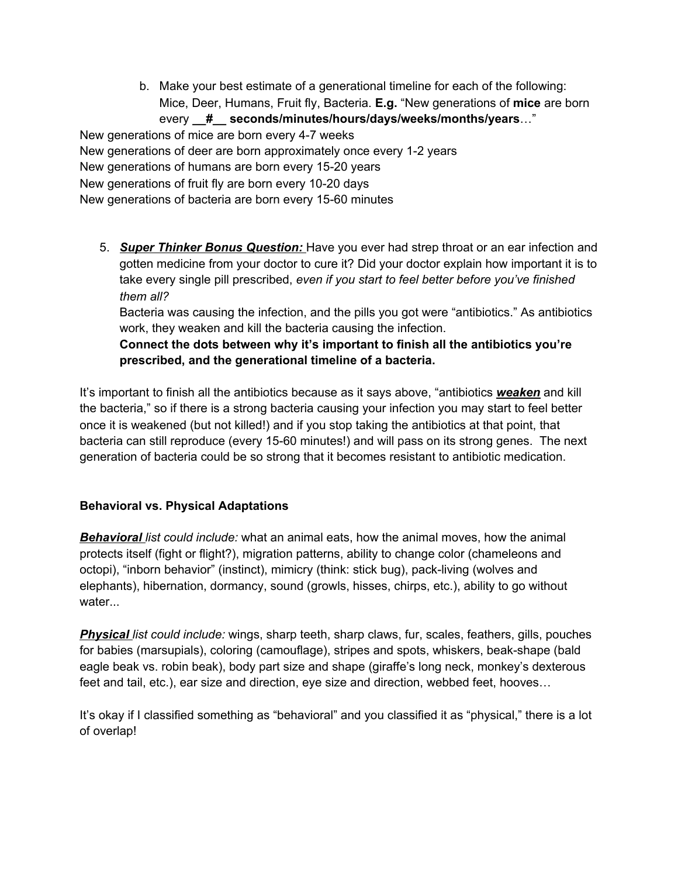b. Make your best estimate of a generational timeline for each of the following: Mice, Deer, Humans, Fruit fly, Bacteria. **E.g.** "New generations of **mice** are born every **\_\_#\_\_ seconds/minutes/hours/days/weeks/months/years**…"

New generations of mice are born every 4-7 weeks New generations of deer are born approximately once every 1-2 years New generations of humans are born every 15-20 years New generations of fruit fly are born every 10-20 days New generations of bacteria are born every 15-60 minutes

5. *Super Thinker Bonus Question:* Have you ever had strep throat or an ear infection and gotten medicine from your doctor to cure it? Did your doctor explain how important it is to take every single pill prescribed, *even if you start to feel better before you've finished them all?*

Bacteria was causing the infection, and the pills you got were "antibiotics." As antibiotics work, they weaken and kill the bacteria causing the infection.

**Connect the dots between why it's important to finish all the antibiotics you're prescribed, and the generational timeline of a bacteria.**

It's important to finish all the antibiotics because as it says above, "antibiotics *weaken* and kill the bacteria," so if there is a strong bacteria causing your infection you may start to feel better once it is weakened (but not killed!) and if you stop taking the antibiotics at that point, that bacteria can still reproduce (every 15-60 minutes!) and will pass on its strong genes. The next generation of bacteria could be so strong that it becomes resistant to antibiotic medication.

#### **Behavioral vs. Physical Adaptations**

*Behavioral list could include:* what an animal eats, how the animal moves, how the animal protects itself (fight or flight?), migration patterns, ability to change color (chameleons and octopi), "inborn behavior" (instinct), mimicry (think: stick bug), pack-living (wolves and elephants), hibernation, dormancy, sound (growls, hisses, chirps, etc.), ability to go without water...

*Physical list could include:* wings, sharp teeth, sharp claws, fur, scales, feathers, gills, pouches for babies (marsupials), coloring (camouflage), stripes and spots, whiskers, beak-shape (bald eagle beak vs. robin beak), body part size and shape (giraffe's long neck, monkey's dexterous feet and tail, etc.), ear size and direction, eye size and direction, webbed feet, hooves…

It's okay if I classified something as "behavioral" and you classified it as "physical," there is a lot of overlap!